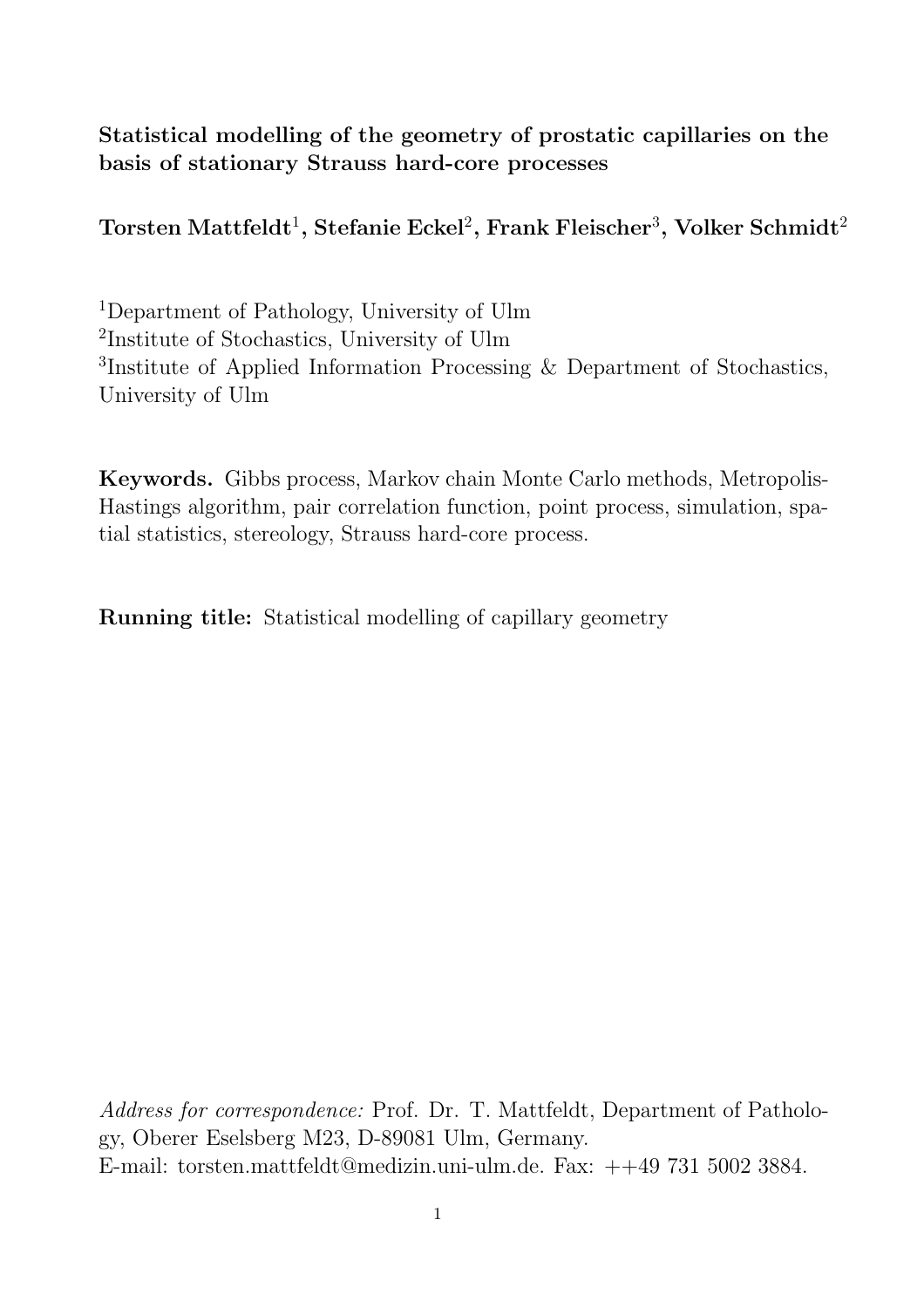Statistical modelling of the geometry of prostatic capillaries on the basis of stationary Strauss hard-core processes

 $\rm T$ orsten Mattfeldt $^1, \rm Stefanie \, Eckel^2,$  Frank Fleischer $^3, \rm Volker \, Schmidt^2$ 

Department of Pathology, University of Ulm Institute of Stochastics, University of Ulm Institute of Applied Information Processing & Department of Stochastics, University of Ulm

Keywords. Gibbs process, Markov chain Monte Carlo methods, Metropolis-Hastings algorithm, pair correlation function, point process, simulation, spatial statistics, stereology, Strauss hard-core process.

Running title: Statistical modelling of capillary geometry

Address for correspondence: Prof. Dr. T. Mattfeldt, Department of Pathology, Oberer Eselsberg M23, D-89081 Ulm, Germany. E-mail: torsten.mattfeldt@medizin.uni-ulm.de. Fax:  $++49\,731\,5002\,3884$ .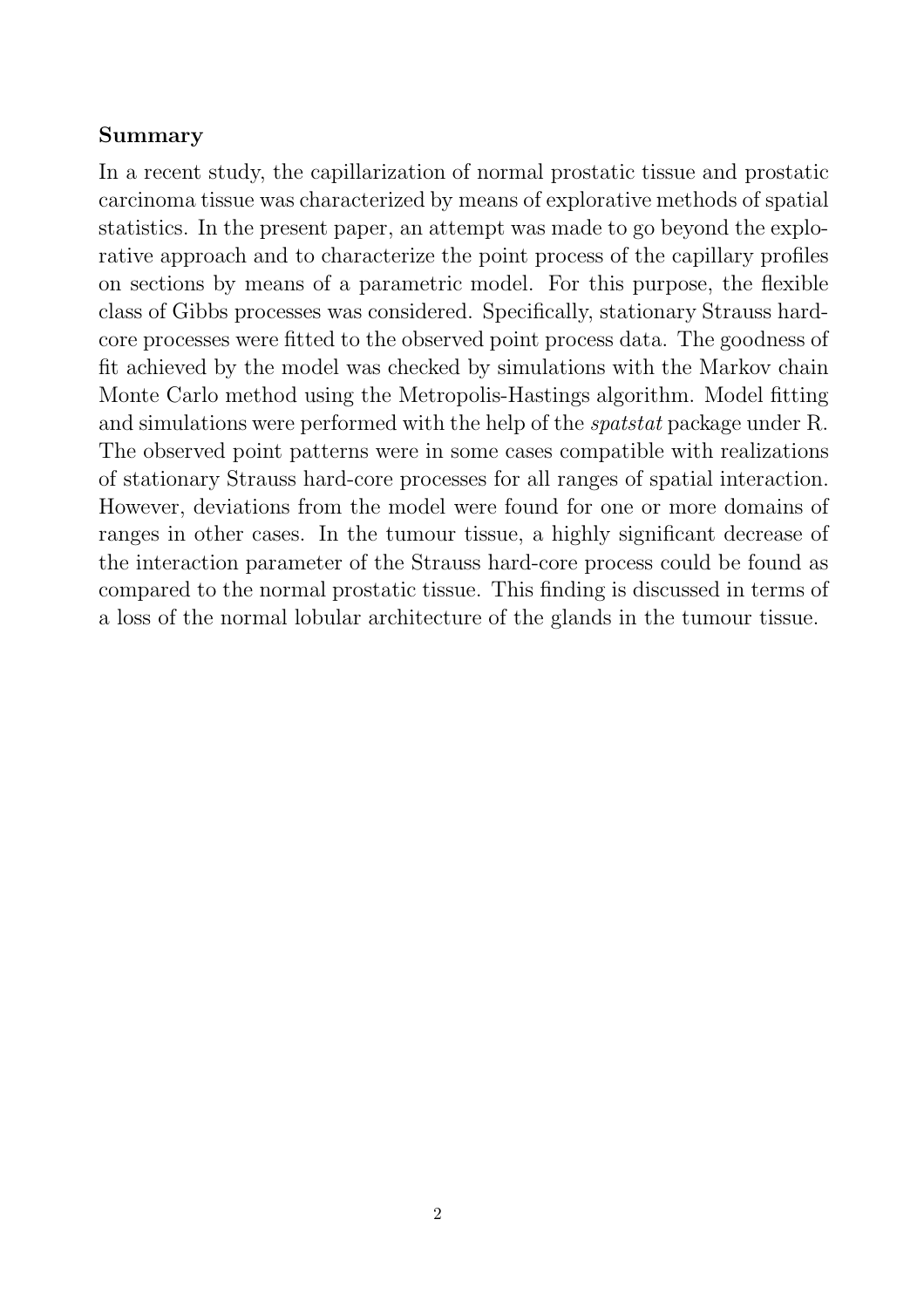### Summary

In a recent study, the capillarization of normal prostatic tissue and prostatic carcinoma tissue was characterized by means of explorative methods of spatial statistics. In the present paper, an attempt was made to go beyond the explorative approach and to characterize the point process of the capillary profiles on sections by means of a parametric model. For this purpose, the flexible class of Gibbs processes was considered. Specifically, stationary Strauss hardcore processes were fitted to the observed point process data. The goodness of fit achieved by the model was checked by simulations with the Markov chain Monte Carlo method using the Metropolis-Hastings algorithm. Model fitting and simulations were performed with the help of the *spatstat* package under R. The observed point patterns were in some cases compatible with realizations of stationary Strauss hard-core processes for all ranges of spatial interaction. However, deviations from the model were found for one or more domains of ranges in other cases. In the tumour tissue, a highly significant decrease of the interaction parameter of the Strauss hard-core process could be found as compared to the normal prostatic tissue. This finding is discussed in terms of a loss of the normal lobular architecture of the glands in the tumour tissue.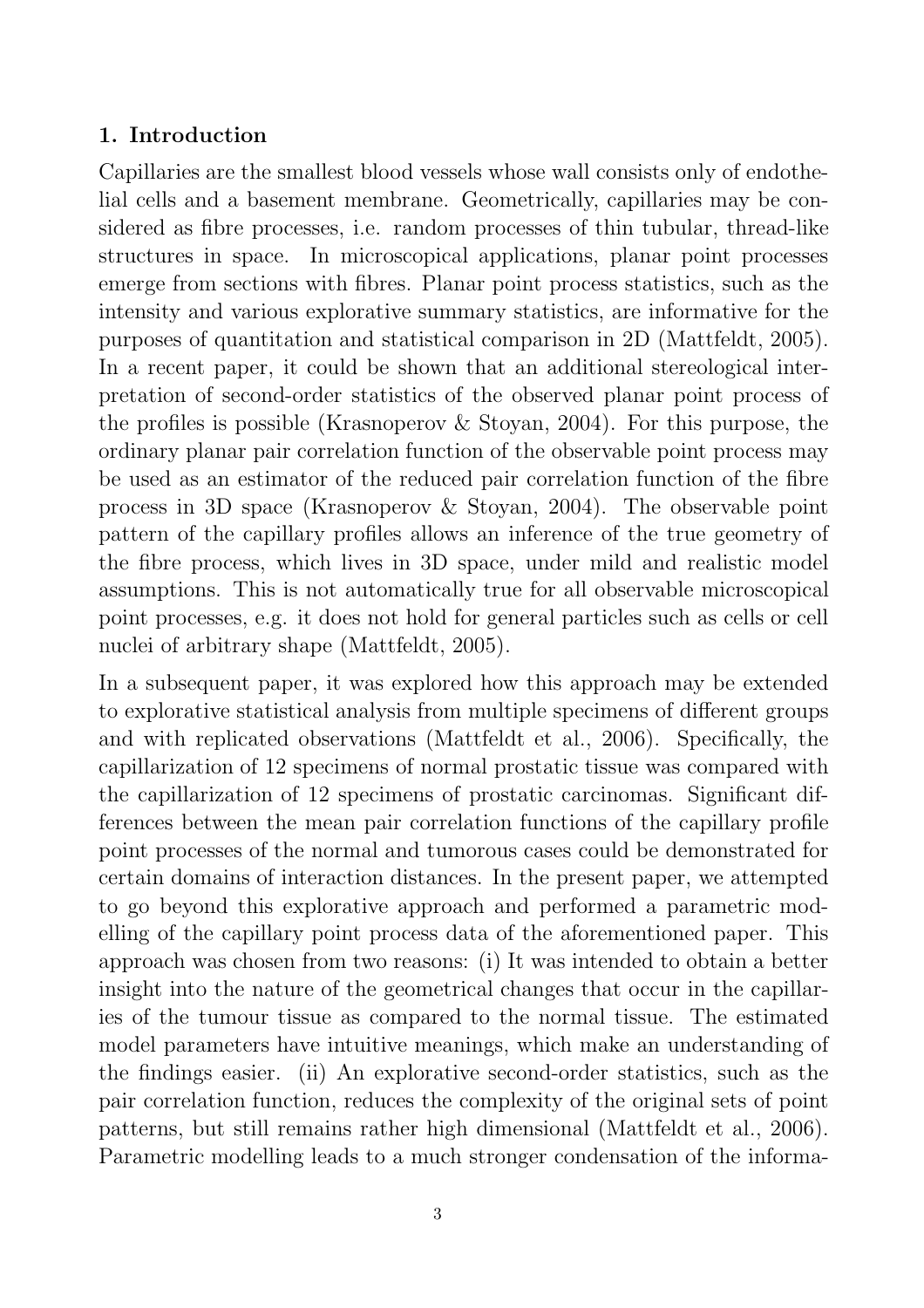## 1. Introduction

Capillaries are the smallest blood vessels whose wall consists only of endothelial cells and a basement membrane. Geometrically, capillaries may be considered as fibre processes, i.e. random processes of thin tubular, thread-like structures in space. In microscopical applications, planar point processes emerge from sections with fibres. Planar point process statistics, such as the intensity and various explorative summary statistics, are informative for the purposes of quantitation and statistical comparison in 2D (Mattfeldt, 2005). In a recent paper, it could be shown that an additional stereological interpretation of second-order statistics of the observed planar point process of the profiles is possible (Krasnoperov & Stoyan, 2004). For this purpose, the ordinary planar pair correlation function of the observable point process may be used as an estimator of the reduced pair correlation function of the fibre process in 3D space (Krasnoperov & Stoyan, 2004). The observable point pattern of the capillary profiles allows an inference of the true geometry of the fibre process, which lives in 3D space, under mild and realistic model assumptions. This is not automatically true for all observable microscopical point processes, e.g. it does not hold for general particles such as cells or cell nuclei of arbitrary shape (Mattfeldt, 2005).

In a subsequent paper, it was explored how this approach may be extended to explorative statistical analysis from multiple specimens of different groups and with replicated observations (Mattfeldt et al., 2006). Specifically, the capillarization of 12 specimens of normal prostatic tissue was compared with the capillarization of 12 specimens of prostatic carcinomas. Significant differences between the mean pair correlation functions of the capillary profile point processes of the normal and tumorous cases could be demonstrated for certain domains of interaction distances. In the present paper, we attempted to go beyond this explorative approach and performed a parametric modelling of the capillary point process data of the aforementioned paper. This approach was chosen from two reasons: (i) It was intended to obtain a better insight into the nature of the geometrical changes that occur in the capillaries of the tumour tissue as compared to the normal tissue. The estimated model parameters have intuitive meanings, which make an understanding of the findings easier. (ii) An explorative second-order statistics, such as the pair correlation function, reduces the complexity of the original sets of point patterns, but still remains rather high dimensional (Mattfeldt et al., 2006). Parametric modelling leads to a much stronger condensation of the informa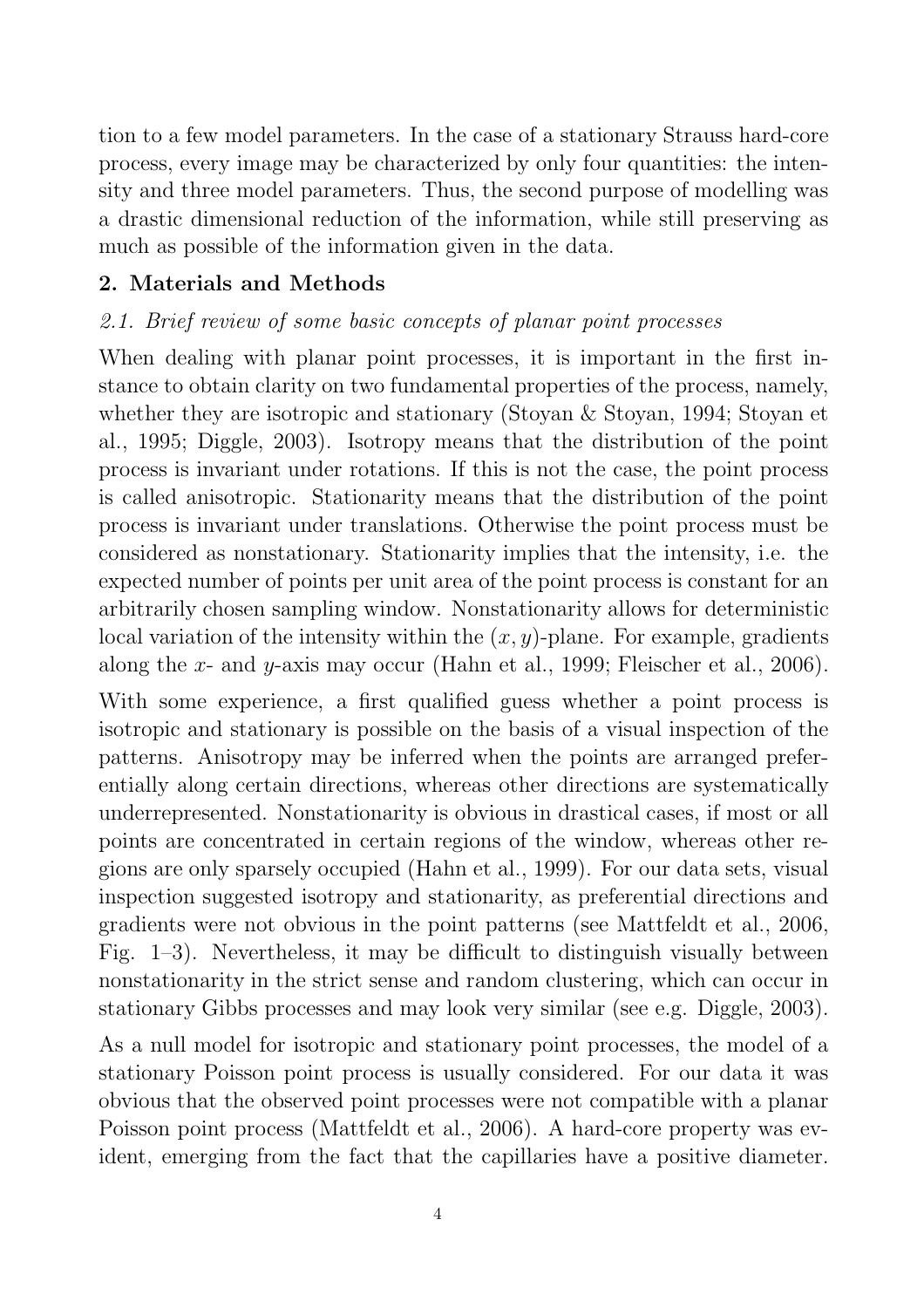tion to a few model parameters. In the case of a stationary Strauss hard-core process, every image may be characterized by only four quantities: the intensity and three model parameters. Thus, the second purpose of modelling was a drastic dimensional reduction of the information, while still preserving as much as possible of the information given in the data.

# 2. Materials and Methods

## 2.1. Brief review of some basic concepts of planar point processes

When dealing with planar point processes, it is important in the first instance to obtain clarity on two fundamental properties of the process, namely, whether they are isotropic and stationary (Stoyan & Stoyan, 1994; Stoyan et al., 1995; Diggle, 2003). Isotropy means that the distribution of the point process is invariant under rotations. If this is not the case, the point process is called anisotropic. Stationarity means that the distribution of the point process is invariant under translations. Otherwise the point process must be considered as nonstationary. Stationarity implies that the intensity, i.e. the expected number of points per unit area of the point process is constant for an arbitrarily chosen sampling window. Nonstationarity allows for deterministic local variation of the intensity within the  $(x, y)$ -plane. For example, gradients along the x- and y-axis may occur (Hahn et al., 1999; Fleischer et al., 2006).

With some experience, a first qualified guess whether a point process is isotropic and stationary is possible on the basis of a visual inspection of the patterns. Anisotropy may be inferred when the points are arranged preferentially along certain directions, whereas other directions are systematically underrepresented. Nonstationarity is obvious in drastical cases, if most or all points are concentrated in certain regions of the window, whereas other regions are only sparsely occupied (Hahn et al., 1999). For our data sets, visual inspection suggested isotropy and stationarity, as preferential directions and gradients were not obvious in the point patterns (see Mattfeldt et al., 2006, Fig. 1–3). Nevertheless, it may be difficult to distinguish visually between nonstationarity in the strict sense and random clustering, which can occur in stationary Gibbs processes and may look very similar (see e.g. Diggle, 2003).

As a null model for isotropic and stationary point processes, the model of a stationary Poisson point process is usually considered. For our data it was obvious that the observed point processes were not compatible with a planar Poisson point process (Mattfeldt et al., 2006). A hard-core property was evident, emerging from the fact that the capillaries have a positive diameter.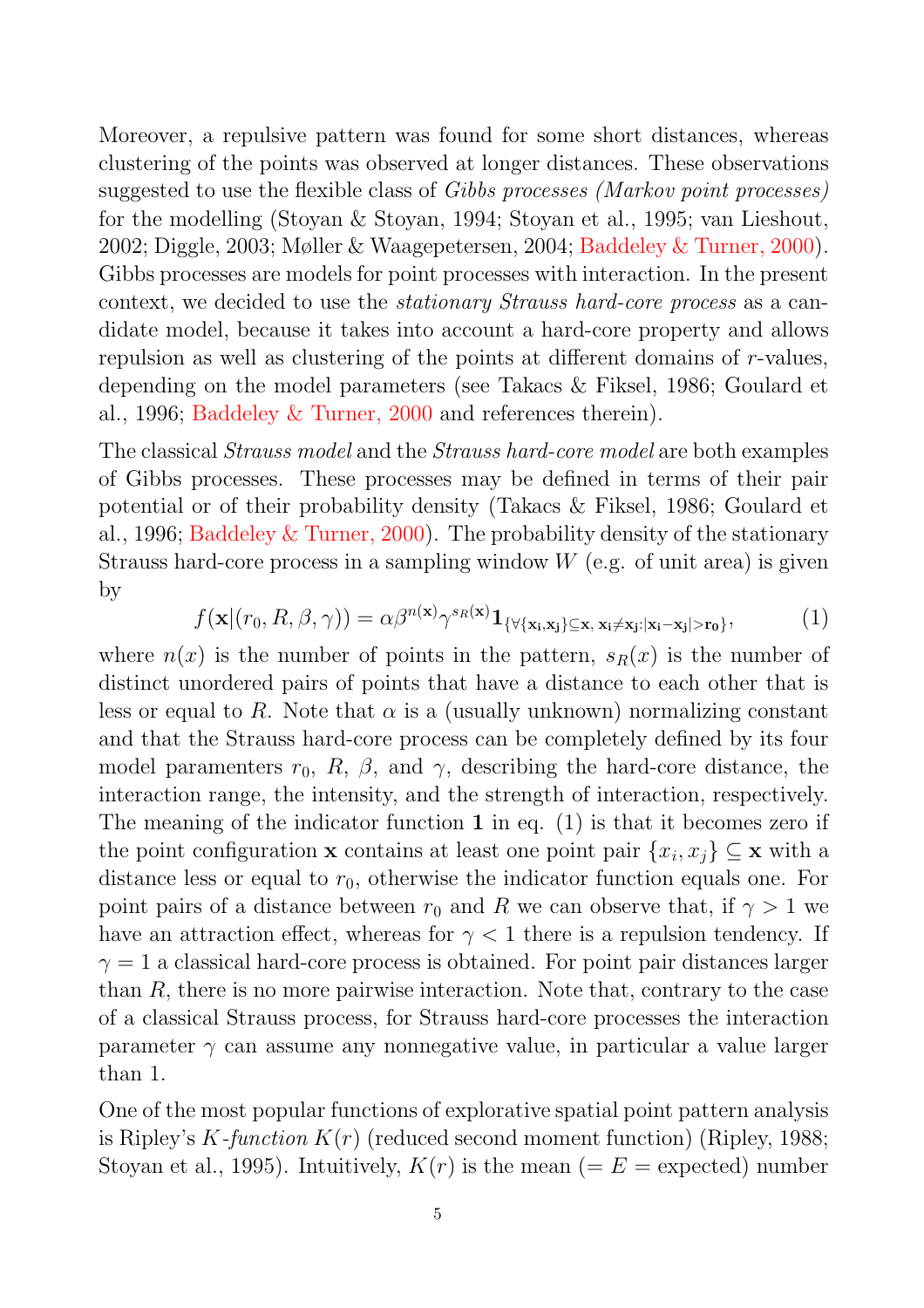Moreover, a repulsive pattern was found for some short distances, whereas clustering of the points was observed at longer distances. These observations suggested to use the flexible class of *Gibbs processes (Markov point processes)* for the modelling (Stoyan & Stoyan, 1994; Stoyan et al., 1995; van Lieshout, 2002; Diggle, 2003; Møller & Waagepetersen, 2004; Baddeley & Turner, 2000). Gibbs processes are models for point processes with interaction. In the present context, we decided to use the *stationary Strauss hard-core process* as a candidate model, because it takes into account a hard-core property and allows repulsion as well as clustering of the points at different domains of r-values, depending on the model parameters (see Takacs & Fiksel, 1986; Goulard et al., 1996; Baddeley & Turner, 2000 and references therein).

The classical *Strauss model* and the *Strauss hard-core model* are both examples of Gibbs processes. These processes may be defined in terms of their pair potential or of their probability density (Takacs & Fiksel, 1986; Goulard et al., 1996; Baddeley & Turner, 2000). The probability density of the stationary Strauss hard-core process in a sampling window  $W$  (e.g. of unit area) is given by

$$
f(\mathbf{x}|(r_0, R, \beta, \gamma)) = \alpha \beta^{n(\mathbf{x})} \gamma^{s_R(\mathbf{x})} \mathbf{1}_{\{\forall \{\mathbf{x}_i, \mathbf{x}_j\} \subseteq \mathbf{x}, \mathbf{x}_i \neq \mathbf{x}_j : |\mathbf{x}_i - \mathbf{x}_j| > r_0\}},\tag{1}
$$

where  $n(x)$  is the number of points in the pattern,  $s_R(x)$  is the number of distinct unordered pairs of points that have a distance to each other that is less or equal to R. Note that  $\alpha$  is a (usually unknown) normalizing constant and that the Strauss hard-core process can be completely defined by its four model paramenters  $r_0$ , R,  $\beta$ , and  $\gamma$ , describing the hard-core distance, the interaction range, the intensity, and the strength of interaction, respectively. The meaning of the indicator function 1 in eq. (1) is that it becomes zero if the point configuration **x** contains at least one point pair  $\{x_i, x_j\} \subseteq \mathbf{x}$  with a distance less or equal to  $r_0$ , otherwise the indicator function equals one. For point pairs of a distance between  $r_0$  and R we can observe that, if  $\gamma > 1$  we have an attraction effect, whereas for  $\gamma < 1$  there is a repulsion tendency. If  $\gamma = 1$  a classical hard-core process is obtained. For point pair distances larger than  $R$ , there is no more pairwise interaction. Note that, contrary to the case of a classical Strauss process, for Strauss hard-core processes the interaction parameter  $\gamma$  can assume any nonnegative value, in particular a value larger than 1.

One of the most popular functions of explorative spatial point pattern analysis is Ripley's K-function  $K(r)$  (reduced second moment function) (Ripley, 1988; Stoyan et al., 1995). Intuitively,  $K(r)$  is the mean (=  $E =$  expected) number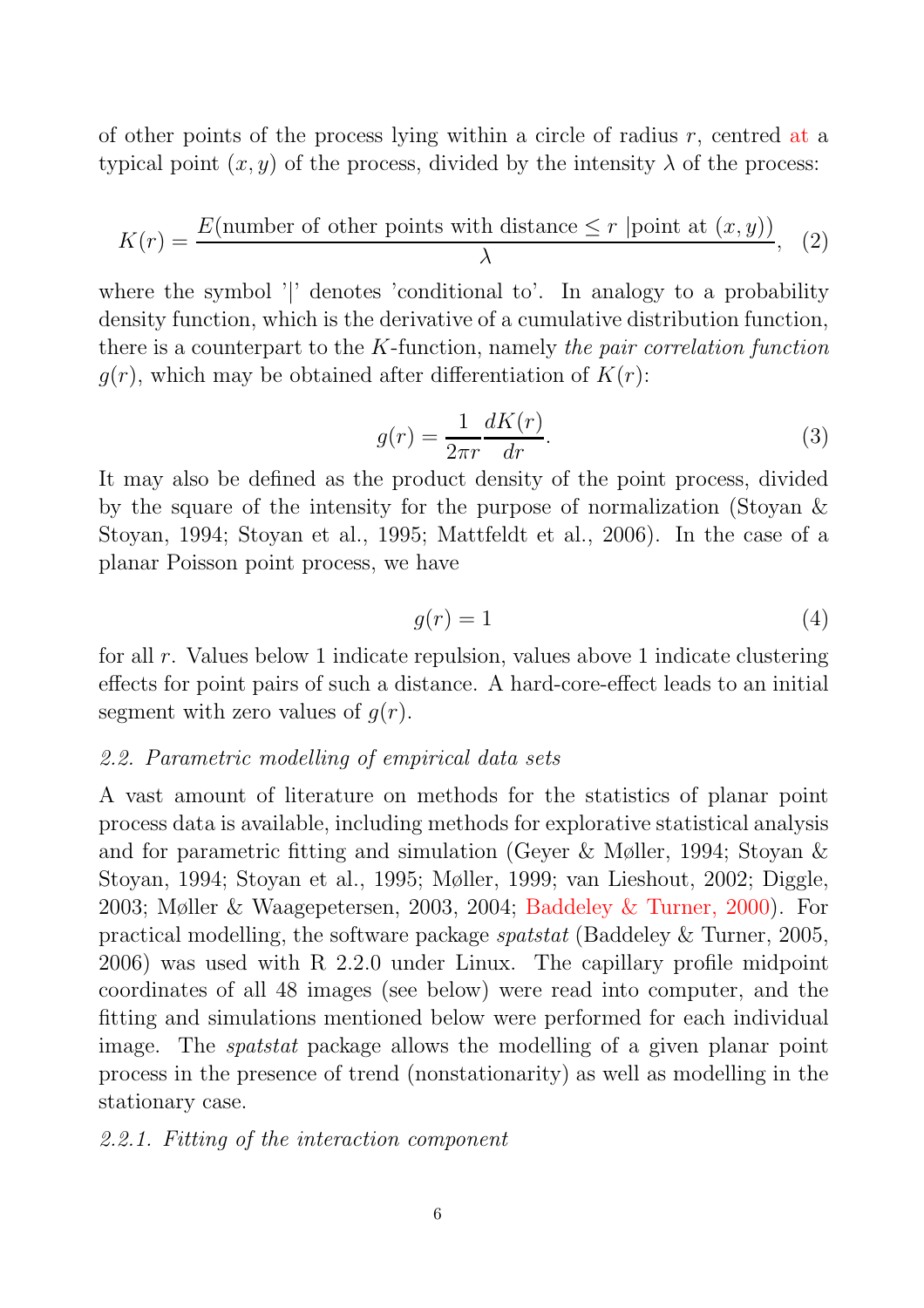of other points of the process lying within a circle of radius  $r$ , centred at a typical point  $(x, y)$  of the process, divided by the intensity  $\lambda$  of the process:

$$
K(r) = \frac{E(\text{number of other points with distance} \le r \mid \text{point at } (x, y))}{\lambda}, \tag{2}
$$

where the symbol '|' denotes 'conditional to'. In analogy to a probability density function, which is the derivative of a cumulative distribution function, there is a counterpart to the K-function, namely the pair correlation function  $g(r)$ , which may be obtained after differentiation of  $K(r)$ :

$$
g(r) = \frac{1}{2\pi r} \frac{dK(r)}{dr}.
$$
\n(3)

It may also be defined as the product density of the point process, divided by the square of the intensity for the purpose of normalization (Stoyan & Stoyan, 1994; Stoyan et al., 1995; Mattfeldt et al., 2006). In the case of a planar Poisson point process, we have

$$
g(r) = 1\tag{4}
$$

for all r. Values below 1 indicate repulsion, values above 1 indicate clustering effects for point pairs of such a distance. A hard-core-effect leads to an initial segment with zero values of  $q(r)$ .

#### 2.2. Parametric modelling of empirical data sets

A vast amount of literature on methods for the statistics of planar point process data is available, including methods for explorative statistical analysis and for parametric fitting and simulation (Geyer & Møller, 1994; Stoyan & Stoyan, 1994; Stoyan et al., 1995; Møller, 1999; van Lieshout, 2002; Diggle, 2003; Møller & Waagepetersen, 2003, 2004; Baddeley & Turner, 2000). For practical modelling, the software package spatstat (Baddeley & Turner, 2005, 2006) was used with R 2.2.0 under Linux. The capillary profile midpoint coordinates of all 48 images (see below) were read into computer, and the fitting and simulations mentioned below were performed for each individual image. The *spatstat* package allows the modelling of a given planar point process in the presence of trend (nonstationarity) as well as modelling in the stationary case.

#### 2.2.1. Fitting of the interaction component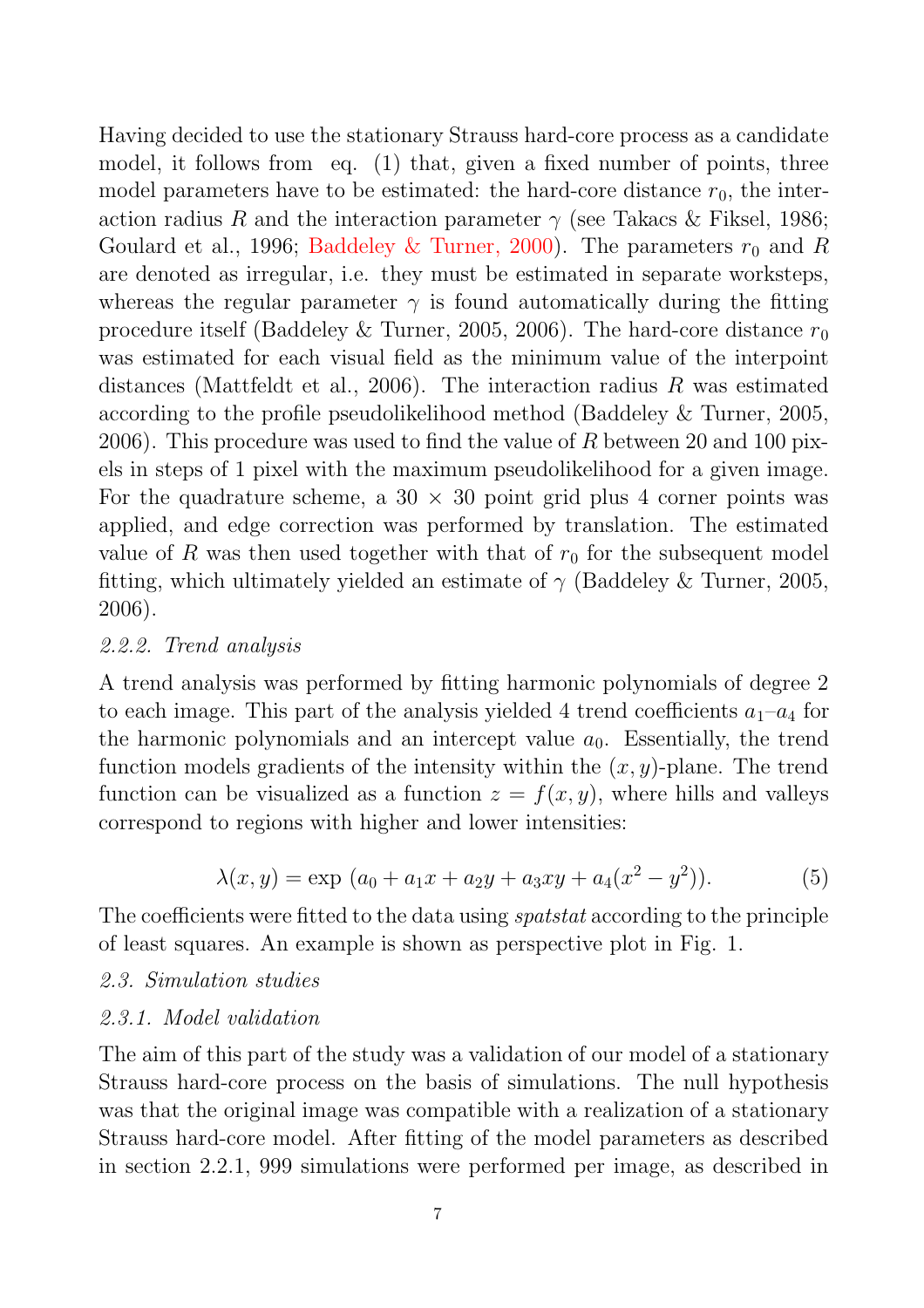Having decided to use the stationary Strauss hard-core process as a candidate model, it follows from eq. (1) that, given a fixed number of points, three model parameters have to be estimated: the hard-core distance  $r_0$ , the interaction radius R and the interaction parameter  $\gamma$  (see Takacs & Fiksel, 1986; Goulard et al., 1996; Baddeley & Turner, 2000). The parameters  $r_0$  and R are denoted as irregular, i.e. they must be estimated in separate worksteps, whereas the regular parameter  $\gamma$  is found automatically during the fitting procedure itself (Baddeley & Turner, 2005, 2006). The hard-core distance  $r_0$ was estimated for each visual field as the minimum value of the interpoint distances (Mattfeldt et al., 2006). The interaction radius  $R$  was estimated according to the profile pseudolikelihood method (Baddeley & Turner, 2005, 2006). This procedure was used to find the value of R between 20 and 100 pixels in steps of 1 pixel with the maximum pseudolikelihood for a given image. For the quadrature scheme, a  $30 \times 30$  point grid plus 4 corner points was applied, and edge correction was performed by translation. The estimated value of R was then used together with that of  $r_0$  for the subsequent model fitting, which ultimately yielded an estimate of  $\gamma$  (Baddeley & Turner, 2005, 2006).

### 2.2.2. Trend analysis

A trend analysis was performed by fitting harmonic polynomials of degree 2 to each image. This part of the analysis yielded 4 trend coefficients  $a_1-a_4$  for the harmonic polynomials and an intercept value  $a_0$ . Essentially, the trend function models gradients of the intensity within the  $(x, y)$ -plane. The trend function can be visualized as a function  $z = f(x, y)$ , where hills and valleys correspond to regions with higher and lower intensities:

$$
\lambda(x, y) = \exp (a_0 + a_1 x + a_2 y + a_3 x y + a_4 (x^2 - y^2)). \tag{5}
$$

The coefficients were fitted to the data using *spatstat* according to the principle of least squares. An example is shown as perspective plot in Fig. 1.

### 2.3. Simulation studies

### 2.3.1. Model validation

The aim of this part of the study was a validation of our model of a stationary Strauss hard-core process on the basis of simulations. The null hypothesis was that the original image was compatible with a realization of a stationary Strauss hard-core model. After fitting of the model parameters as described in section 2.2.1, 999 simulations were performed per image, as described in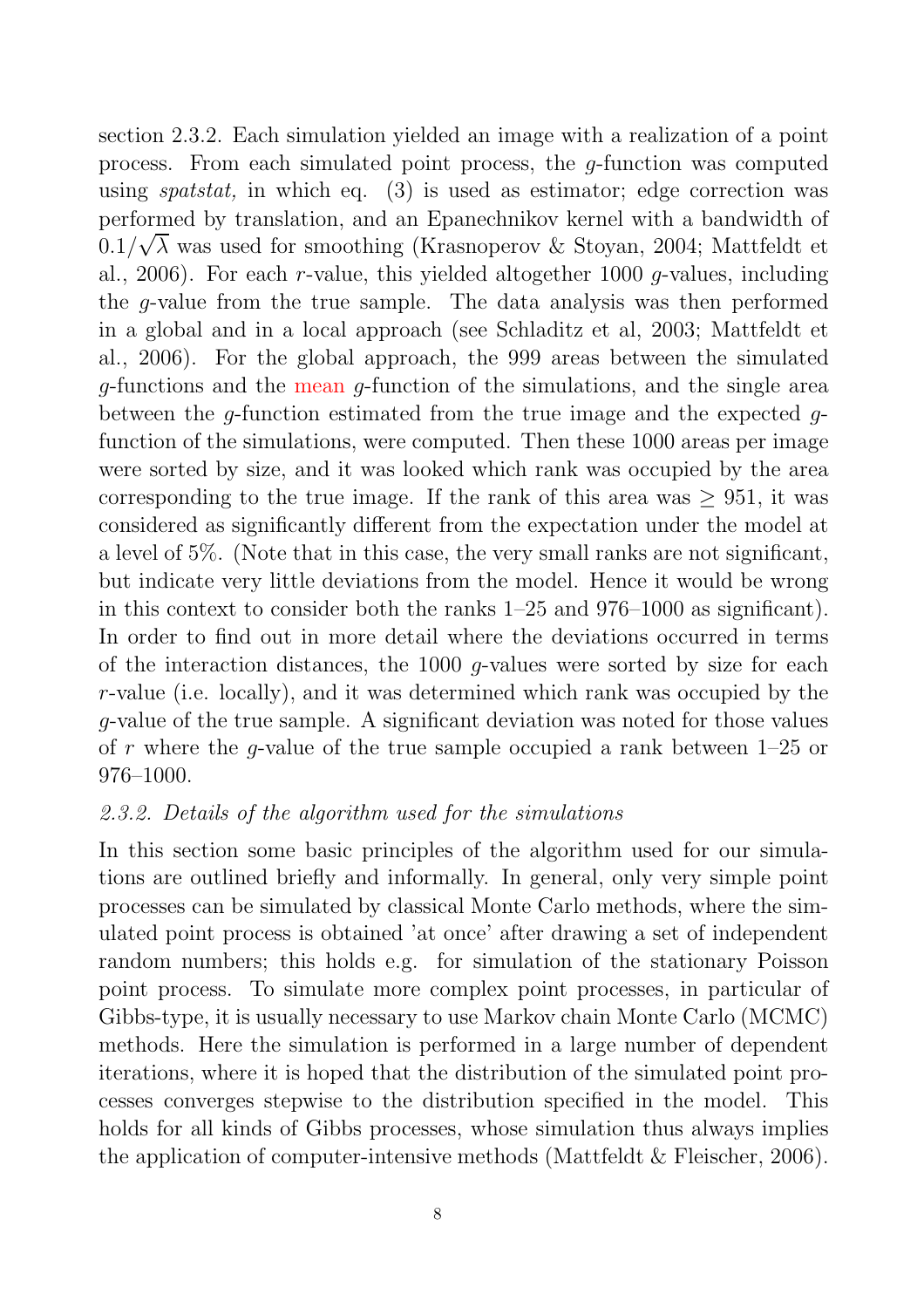section 2.3.2. Each simulation yielded an image with a realization of a point process. From each simulated point process, the g-function was computed using spatstat, in which eq. (3) is used as estimator; edge correction was performed by translation, and an Epanechnikov kernel with a bandwidth of  $0.1/\sqrt{\lambda}$  was used for smoothing (Krasnoperov & Stoyan, 2004; Mattfeldt et al., 2006). For each r-value, this yielded altogether 1000 g-values, including the g-value from the true sample. The data analysis was then performed in a global and in a local approach (see Schladitz et al, 2003; Mattfeldt et al., 2006). For the global approach, the 999 areas between the simulated g-functions and the mean g-function of the simulations, and the single area between the g-function estimated from the true image and the expected gfunction of the simulations, were computed. Then these 1000 areas per image were sorted by size, and it was looked which rank was occupied by the area corresponding to the true image. If the rank of this area was  $\geq 951$ , it was considered as significantly different from the expectation under the model at a level of 5%. (Note that in this case, the very small ranks are not significant, but indicate very little deviations from the model. Hence it would be wrong in this context to consider both the ranks 1–25 and 976–1000 as significant). In order to find out in more detail where the deviations occurred in terms of the interaction distances, the 1000 g-values were sorted by size for each r-value (i.e. locally), and it was determined which rank was occupied by the g-value of the true sample. A significant deviation was noted for those values of r where the g-value of the true sample occupied a rank between  $1-25$  or 976–1000.

### 2.3.2. Details of the algorithm used for the simulations

In this section some basic principles of the algorithm used for our simulations are outlined briefly and informally. In general, only very simple point processes can be simulated by classical Monte Carlo methods, where the simulated point process is obtained 'at once' after drawing a set of independent random numbers; this holds e.g. for simulation of the stationary Poisson point process. To simulate more complex point processes, in particular of Gibbs-type, it is usually necessary to use Markov chain Monte Carlo (MCMC) methods. Here the simulation is performed in a large number of dependent iterations, where it is hoped that the distribution of the simulated point processes converges stepwise to the distribution specified in the model. This holds for all kinds of Gibbs processes, whose simulation thus always implies the application of computer-intensive methods (Mattfeldt & Fleischer, 2006).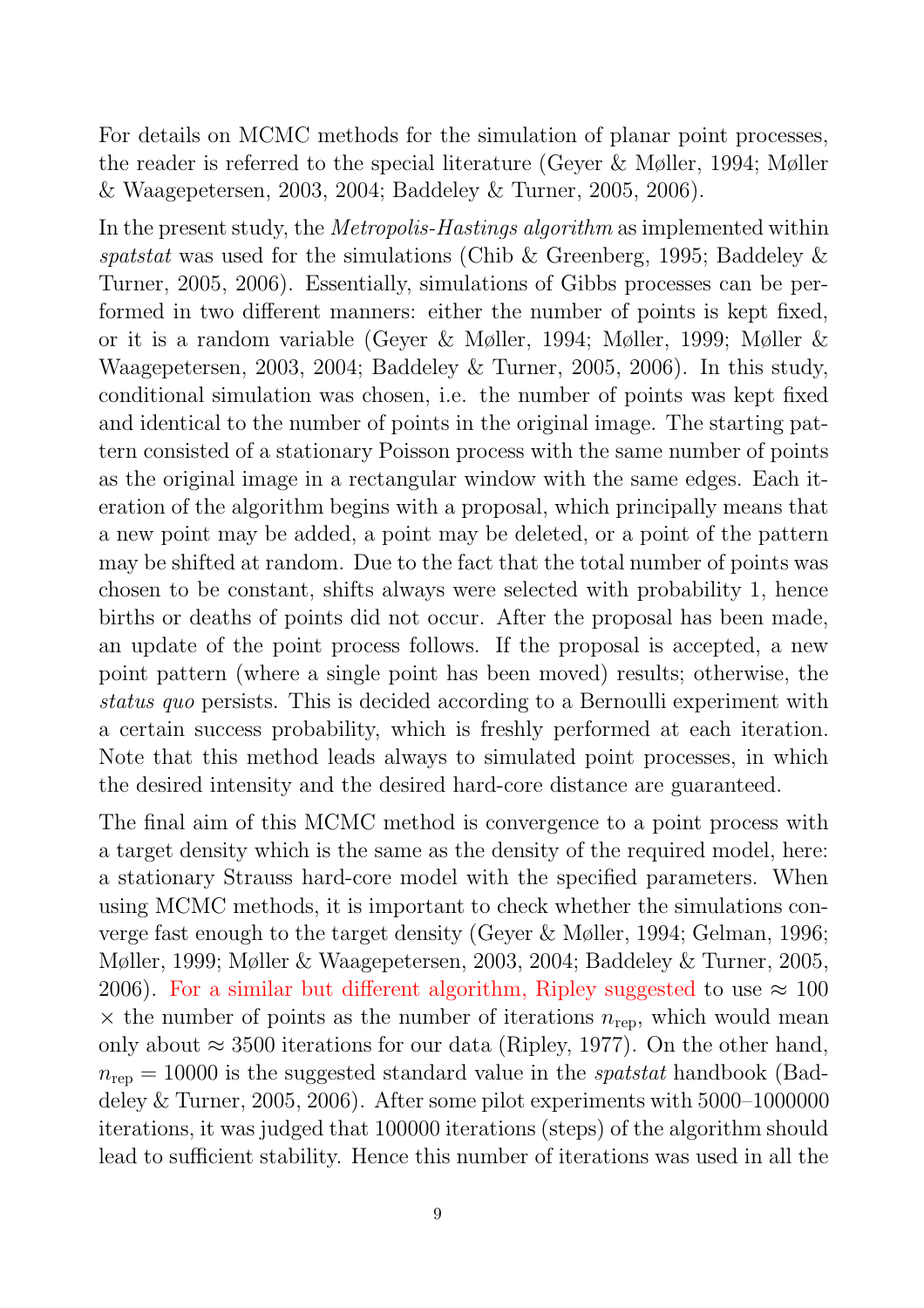For details on MCMC methods for the simulation of planar point processes, the reader is referred to the special literature (Geyer & Møller, 1994; Møller & Waagepetersen, 2003, 2004; Baddeley & Turner, 2005, 2006).

In the present study, the *Metropolis-Hastings algorithm* as implemented within spatstat was used for the simulations (Chib & Greenberg, 1995; Baddeley & Turner, 2005, 2006). Essentially, simulations of Gibbs processes can be performed in two different manners: either the number of points is kept fixed, or it is a random variable (Geyer & Møller, 1994; Møller, 1999; Møller & Waagepetersen, 2003, 2004; Baddeley & Turner, 2005, 2006). In this study, conditional simulation was chosen, i.e. the number of points was kept fixed and identical to the number of points in the original image. The starting pattern consisted of a stationary Poisson process with the same number of points as the original image in a rectangular window with the same edges. Each iteration of the algorithm begins with a proposal, which principally means that a new point may be added, a point may be deleted, or a point of the pattern may be shifted at random. Due to the fact that the total number of points was chosen to be constant, shifts always were selected with probability 1, hence births or deaths of points did not occur. After the proposal has been made, an update of the point process follows. If the proposal is accepted, a new point pattern (where a single point has been moved) results; otherwise, the status quo persists. This is decided according to a Bernoulli experiment with a certain success probability, which is freshly performed at each iteration. Note that this method leads always to simulated point processes, in which the desired intensity and the desired hard-core distance are guaranteed.

The final aim of this MCMC method is convergence to a point process with a target density which is the same as the density of the required model, here: a stationary Strauss hard-core model with the specified parameters. When using MCMC methods, it is important to check whether the simulations converge fast enough to the target density (Geyer & Møller, 1994; Gelman, 1996; Møller, 1999; Møller & Waagepetersen, 2003, 2004; Baddeley & Turner, 2005, 2006). For a similar but different algorithm, Ripley suggested to use  $\approx 100$  $\times$  the number of points as the number of iterations  $n_{\text{rep}}$ , which would mean only about  $\approx 3500$  iterations for our data (Ripley, 1977). On the other hand,  $n_{\text{rep}} = 10000$  is the suggested standard value in the *spatstat* handbook (Baddeley & Turner, 2005, 2006). After some pilot experiments with 5000–1000000 iterations, it was judged that 100000 iterations (steps) of the algorithm should lead to sufficient stability. Hence this number of iterations was used in all the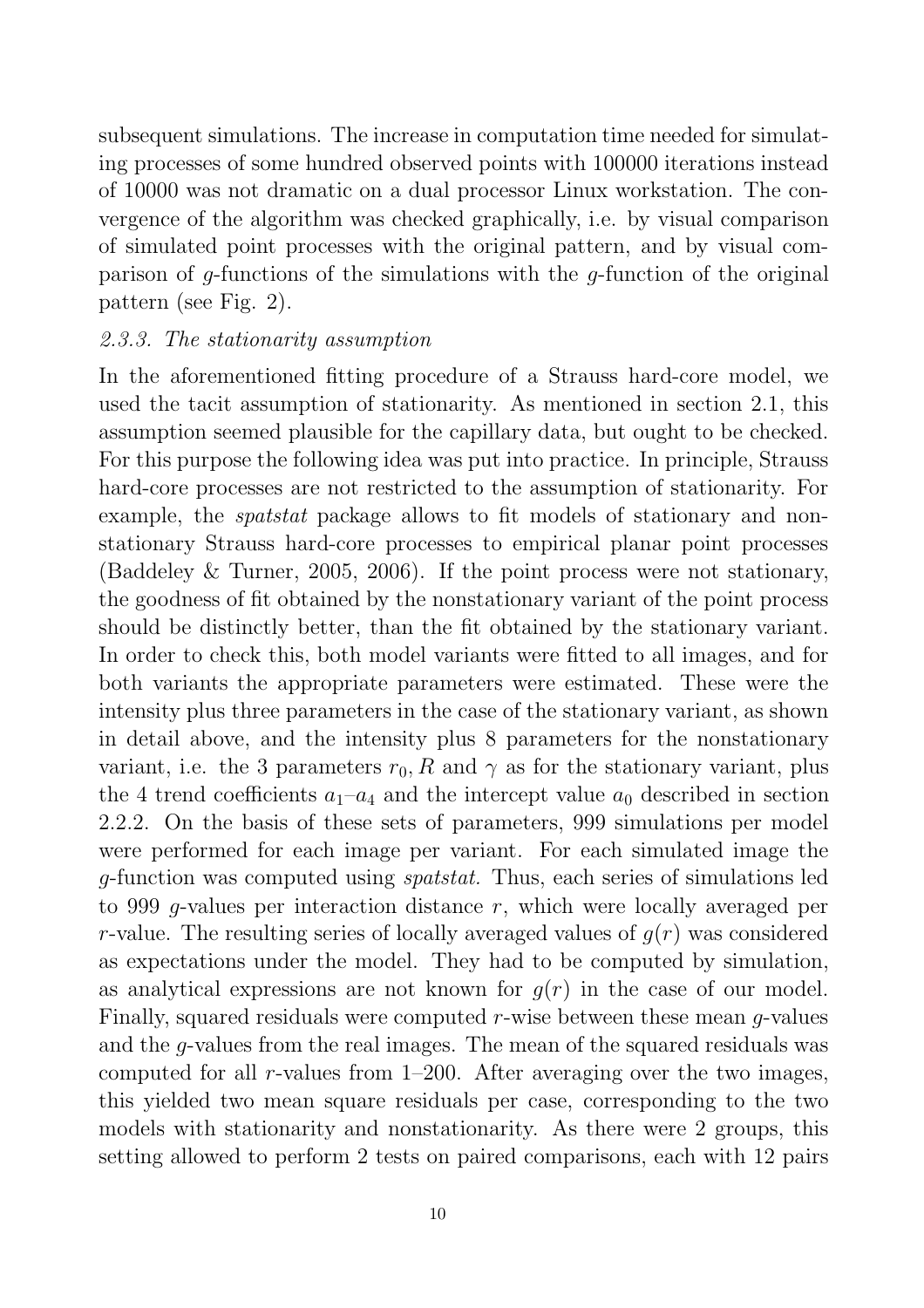subsequent simulations. The increase in computation time needed for simulating processes of some hundred observed points with 100000 iterations instead of 10000 was not dramatic on a dual processor Linux workstation. The convergence of the algorithm was checked graphically, i.e. by visual comparison of simulated point processes with the original pattern, and by visual comparison of g-functions of the simulations with the g-function of the original pattern (see Fig. 2).

### 2.3.3. The stationarity assumption

In the aforementioned fitting procedure of a Strauss hard-core model, we used the tacit assumption of stationarity. As mentioned in section 2.1, this assumption seemed plausible for the capillary data, but ought to be checked. For this purpose the following idea was put into practice. In principle, Strauss hard-core processes are not restricted to the assumption of stationarity. For example, the *spatstat* package allows to fit models of stationary and nonstationary Strauss hard-core processes to empirical planar point processes (Baddeley & Turner, 2005, 2006). If the point process were not stationary, the goodness of fit obtained by the nonstationary variant of the point process should be distinctly better, than the fit obtained by the stationary variant. In order to check this, both model variants were fitted to all images, and for both variants the appropriate parameters were estimated. These were the intensity plus three parameters in the case of the stationary variant, as shown in detail above, and the intensity plus 8 parameters for the nonstationary variant, i.e. the 3 parameters  $r_0$ , R and  $\gamma$  as for the stationary variant, plus the 4 trend coefficients  $a_1-a_4$  and the intercept value  $a_0$  described in section 2.2.2. On the basis of these sets of parameters, 999 simulations per model were performed for each image per variant. For each simulated image the g-function was computed using spatstat. Thus, each series of simulations led to 999 g-values per interaction distance  $r$ , which were locally averaged per r-value. The resulting series of locally averaged values of  $q(r)$  was considered as expectations under the model. They had to be computed by simulation, as analytical expressions are not known for  $g(r)$  in the case of our model. Finally, squared residuals were computed r-wise between these mean g-values and the g-values from the real images. The mean of the squared residuals was computed for all r-values from  $1-200$ . After averaging over the two images, this yielded two mean square residuals per case, corresponding to the two models with stationarity and nonstationarity. As there were 2 groups, this setting allowed to perform 2 tests on paired comparisons, each with 12 pairs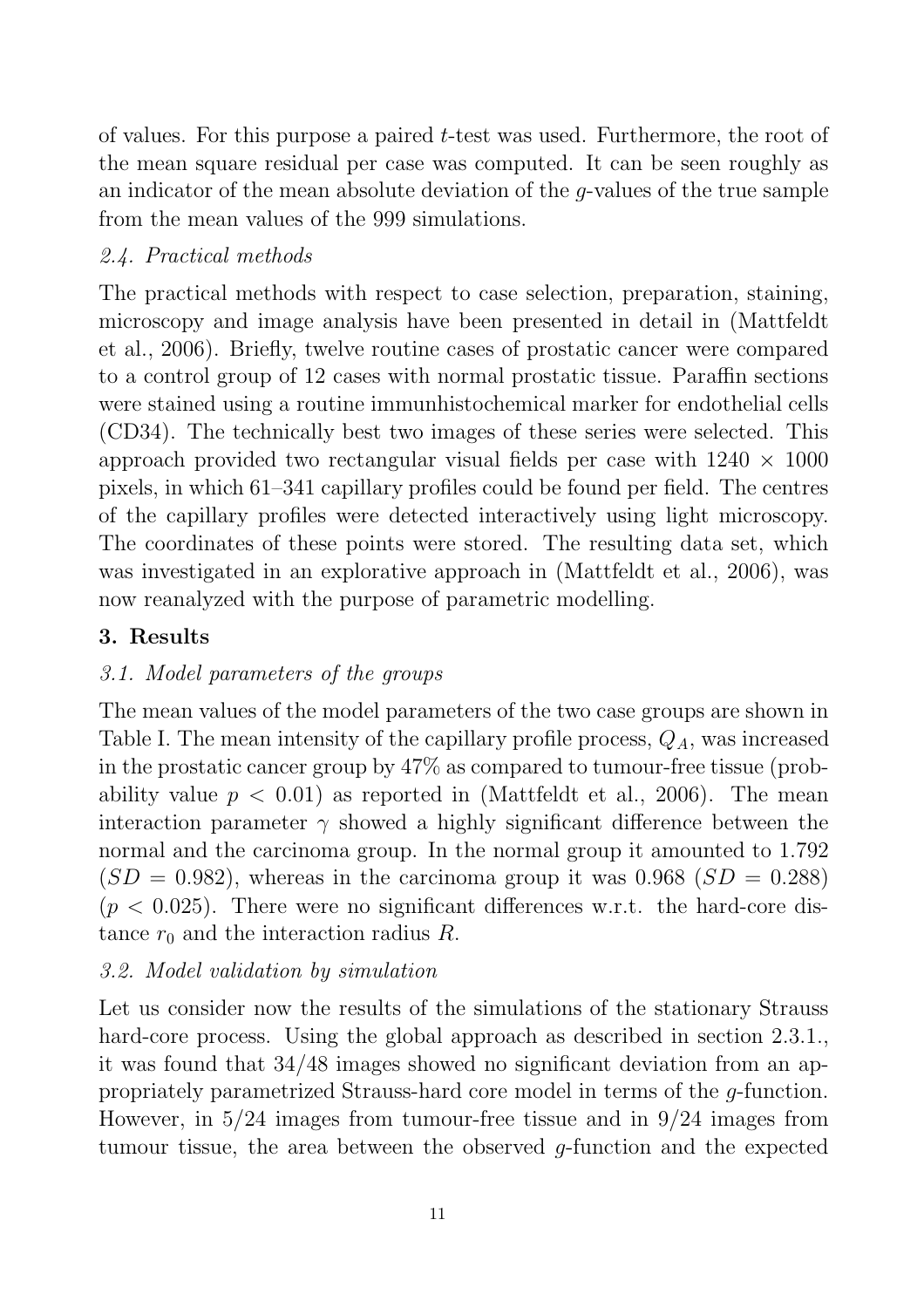of values. For this purpose a paired t-test was used. Furthermore, the root of the mean square residual per case was computed. It can be seen roughly as an indicator of the mean absolute deviation of the g-values of the true sample from the mean values of the 999 simulations.

# 2.4. Practical methods

The practical methods with respect to case selection, preparation, staining, microscopy and image analysis have been presented in detail in (Mattfeldt et al., 2006). Briefly, twelve routine cases of prostatic cancer were compared to a control group of 12 cases with normal prostatic tissue. Paraffin sections were stained using a routine immunhistochemical marker for endothelial cells (CD34). The technically best two images of these series were selected. This approach provided two rectangular visual fields per case with  $1240 \times 1000$ pixels, in which 61–341 capillary profiles could be found per field. The centres of the capillary profiles were detected interactively using light microscopy. The coordinates of these points were stored. The resulting data set, which was investigated in an explorative approach in (Mattfeldt et al., 2006), was now reanalyzed with the purpose of parametric modelling.

## 3. Results

# 3.1. Model parameters of the groups

The mean values of the model parameters of the two case groups are shown in Table I. The mean intensity of the capillary profile process,  $Q_A$ , was increased in the prostatic cancer group by 47% as compared to tumour-free tissue (probability value  $p < 0.01$  as reported in (Mattfeldt et al., 2006). The mean interaction parameter  $\gamma$  showed a highly significant difference between the normal and the carcinoma group. In the normal group it amounted to 1.792  $(SD = 0.982)$ , whereas in the carcinoma group it was 0.968  $(SD = 0.288)$  $(p < 0.025)$ . There were no significant differences w.r.t. the hard-core distance  $r_0$  and the interaction radius R.

### 3.2. Model validation by simulation

Let us consider now the results of the simulations of the stationary Strauss hard-core process. Using the global approach as described in section 2.3.1., it was found that 34/48 images showed no significant deviation from an appropriately parametrized Strauss-hard core model in terms of the g-function. However, in 5/24 images from tumour-free tissue and in 9/24 images from tumour tissue, the area between the observed g-function and the expected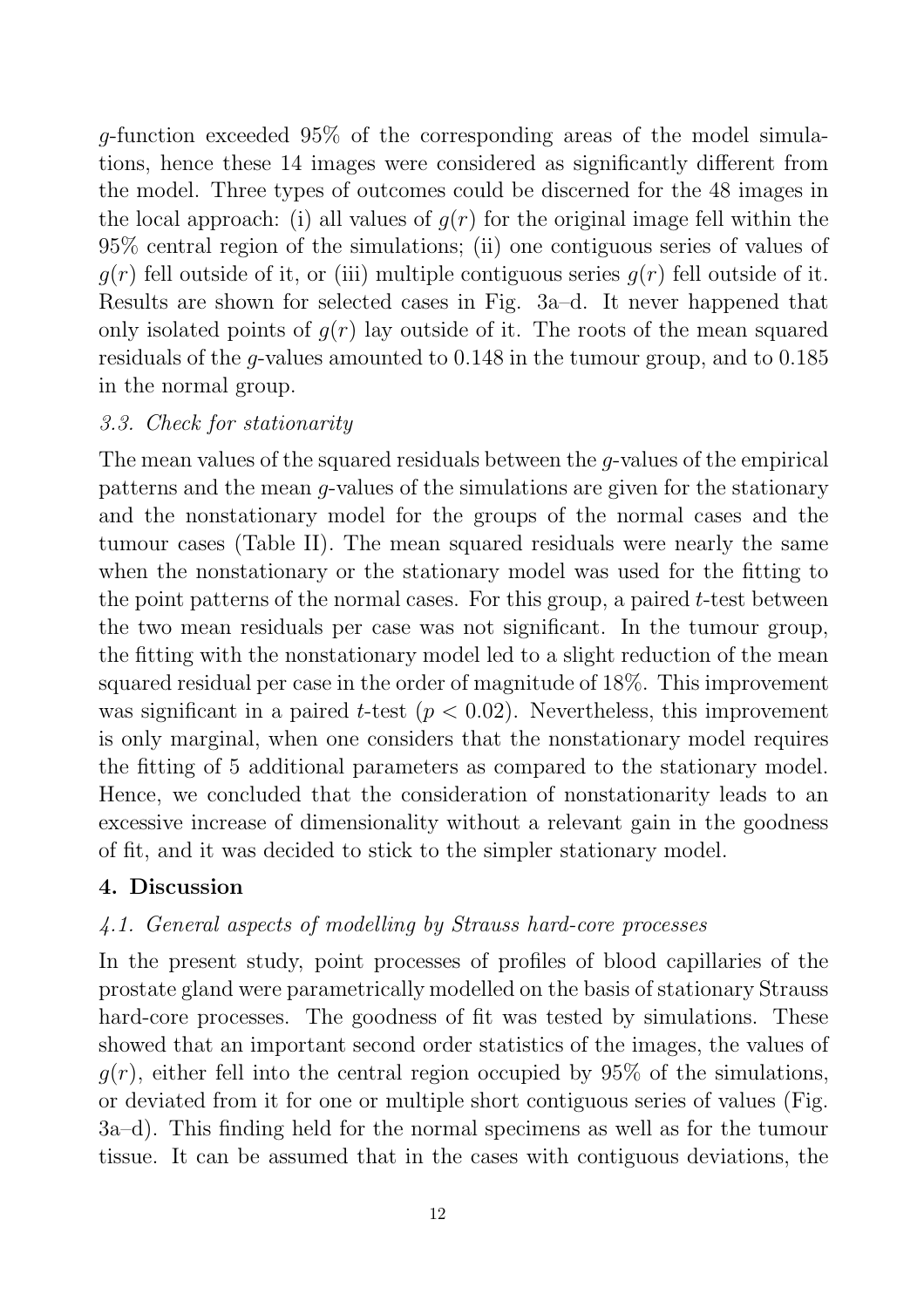g-function exceeded 95% of the corresponding areas of the model simulations, hence these 14 images were considered as significantly different from the model. Three types of outcomes could be discerned for the 48 images in the local approach: (i) all values of  $q(r)$  for the original image fell within the 95% central region of the simulations; (ii) one contiguous series of values of  $g(r)$  fell outside of it, or (iii) multiple contiguous series  $g(r)$  fell outside of it. Results are shown for selected cases in Fig. 3a–d. It never happened that only isolated points of  $g(r)$  lay outside of it. The roots of the mean squared residuals of the g-values amounted to 0.148 in the tumour group, and to 0.185 in the normal group.

### 3.3. Check for stationarity

The mean values of the squared residuals between the g-values of the empirical patterns and the mean g-values of the simulations are given for the stationary and the nonstationary model for the groups of the normal cases and the tumour cases (Table II). The mean squared residuals were nearly the same when the nonstationary or the stationary model was used for the fitting to the point patterns of the normal cases. For this group, a paired t-test between the two mean residuals per case was not significant. In the tumour group, the fitting with the nonstationary model led to a slight reduction of the mean squared residual per case in the order of magnitude of 18%. This improvement was significant in a paired t-test  $(p < 0.02)$ . Nevertheless, this improvement is only marginal, when one considers that the nonstationary model requires the fitting of 5 additional parameters as compared to the stationary model. Hence, we concluded that the consideration of nonstationarity leads to an excessive increase of dimensionality without a relevant gain in the goodness of fit, and it was decided to stick to the simpler stationary model.

### 4. Discussion

### 4.1. General aspects of modelling by Strauss hard-core processes

In the present study, point processes of profiles of blood capillaries of the prostate gland were parametrically modelled on the basis of stationary Strauss hard-core processes. The goodness of fit was tested by simulations. These showed that an important second order statistics of the images, the values of  $g(r)$ , either fell into the central region occupied by 95% of the simulations, or deviated from it for one or multiple short contiguous series of values (Fig. 3a–d). This finding held for the normal specimens as well as for the tumour tissue. It can be assumed that in the cases with contiguous deviations, the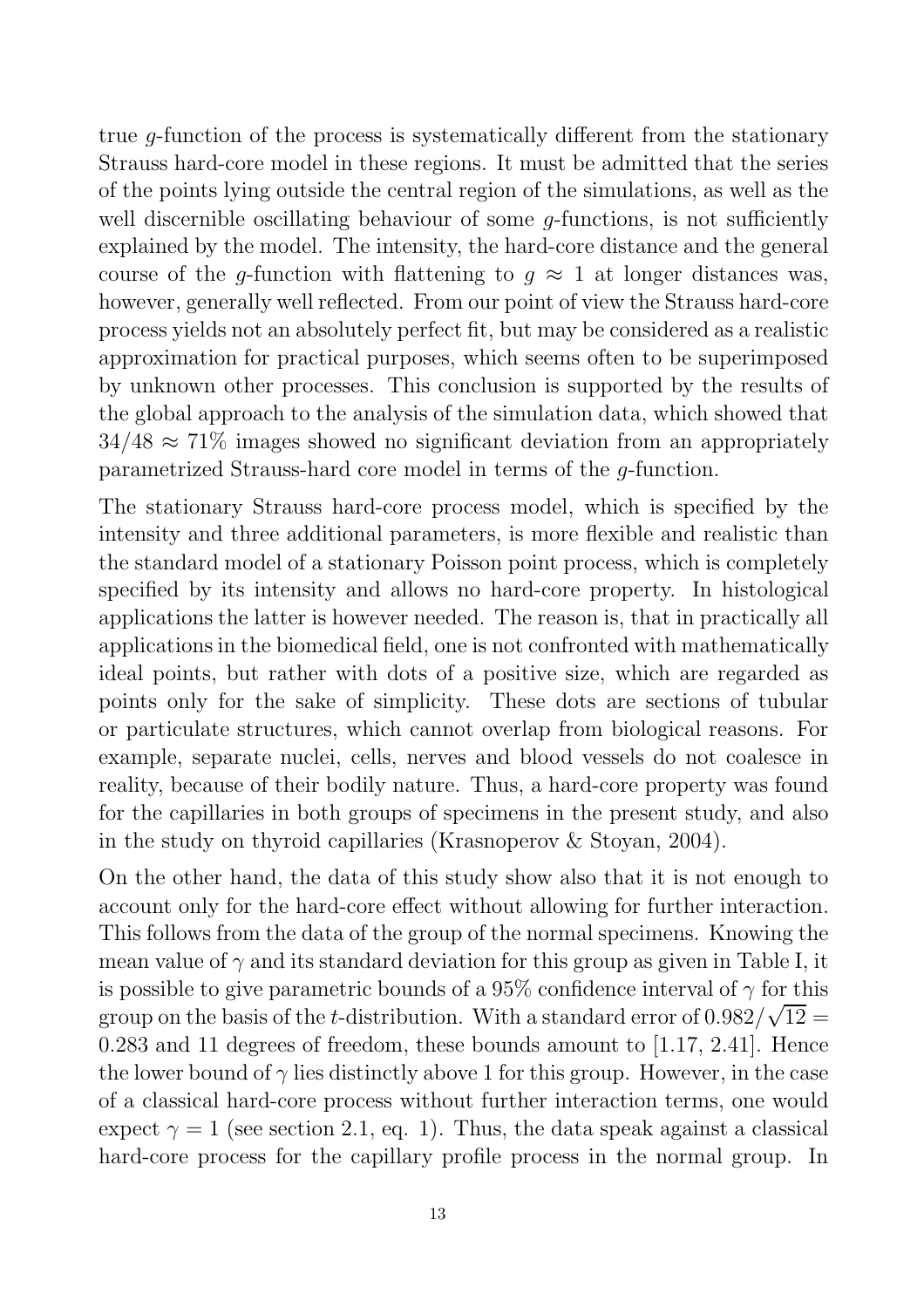true g-function of the process is systematically different from the stationary Strauss hard-core model in these regions. It must be admitted that the series of the points lying outside the central region of the simulations, as well as the well discernible oscillating behaviour of some  $q$ -functions, is not sufficiently explained by the model. The intensity, the hard-core distance and the general course of the g-function with flattening to  $g \approx 1$  at longer distances was, however, generally well reflected. From our point of view the Strauss hard-core process yields not an absolutely perfect fit, but may be considered as a realistic approximation for practical purposes, which seems often to be superimposed by unknown other processes. This conclusion is supported by the results of the global approach to the analysis of the simulation data, which showed that  $34/48 \approx 71\%$  images showed no significant deviation from an appropriately parametrized Strauss-hard core model in terms of the g-function.

The stationary Strauss hard-core process model, which is specified by the intensity and three additional parameters, is more flexible and realistic than the standard model of a stationary Poisson point process, which is completely specified by its intensity and allows no hard-core property. In histological applications the latter is however needed. The reason is, that in practically all applications in the biomedical field, one is not confronted with mathematically ideal points, but rather with dots of a positive size, which are regarded as points only for the sake of simplicity. These dots are sections of tubular or particulate structures, which cannot overlap from biological reasons. For example, separate nuclei, cells, nerves and blood vessels do not coalesce in reality, because of their bodily nature. Thus, a hard-core property was found for the capillaries in both groups of specimens in the present study, and also in the study on thyroid capillaries (Krasnoperov & Stoyan, 2004).

On the other hand, the data of this study show also that it is not enough to account only for the hard-core effect without allowing for further interaction. This follows from the data of the group of the normal specimens. Knowing the mean value of  $\gamma$  and its standard deviation for this group as given in Table I, it is possible to give parametric bounds of a 95% confidence interval of  $\gamma$  for this group on the basis of the t-distribution. With a standard error of  $0.982/\sqrt{12} =$ 0.283 and 11 degrees of freedom, these bounds amount to [1.17, 2.41]. Hence the lower bound of  $\gamma$  lies distinctly above 1 for this group. However, in the case of a classical hard-core process without further interaction terms, one would expect  $\gamma = 1$  (see section 2.1, eq. 1). Thus, the data speak against a classical hard-core process for the capillary profile process in the normal group. In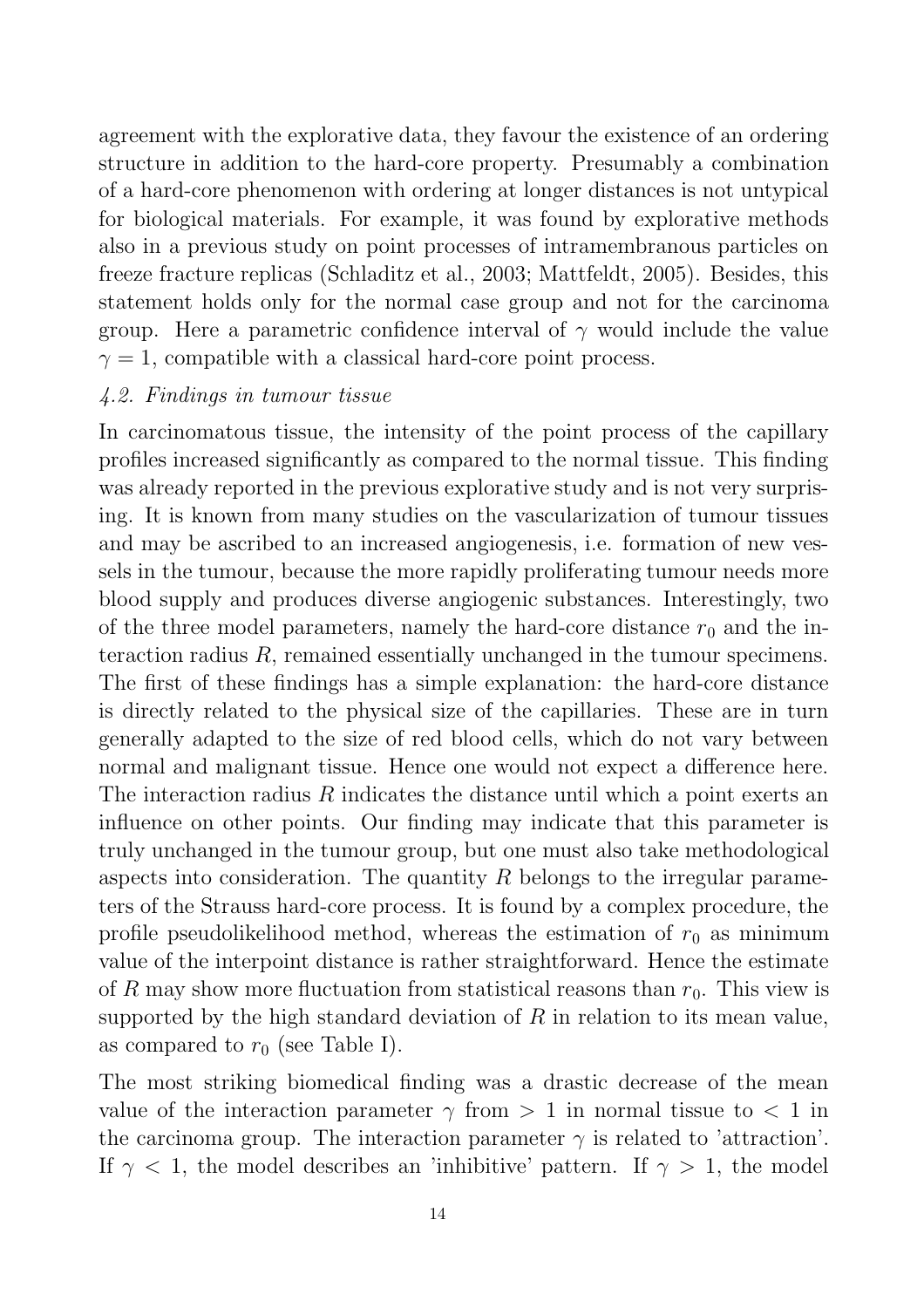agreement with the explorative data, they favour the existence of an ordering structure in addition to the hard-core property. Presumably a combination of a hard-core phenomenon with ordering at longer distances is not untypical for biological materials. For example, it was found by explorative methods also in a previous study on point processes of intramembranous particles on freeze fracture replicas (Schladitz et al., 2003; Mattfeldt, 2005). Besides, this statement holds only for the normal case group and not for the carcinoma group. Here a parametric confidence interval of  $\gamma$  would include the value  $\gamma = 1$ , compatible with a classical hard-core point process.

### 4.2. Findings in tumour tissue

In carcinomatous tissue, the intensity of the point process of the capillary profiles increased significantly as compared to the normal tissue. This finding was already reported in the previous explorative study and is not very surprising. It is known from many studies on the vascularization of tumour tissues and may be ascribed to an increased angiogenesis, i.e. formation of new vessels in the tumour, because the more rapidly proliferating tumour needs more blood supply and produces diverse angiogenic substances. Interestingly, two of the three model parameters, namely the hard-core distance  $r_0$  and the interaction radius R, remained essentially unchanged in the tumour specimens. The first of these findings has a simple explanation: the hard-core distance is directly related to the physical size of the capillaries. These are in turn generally adapted to the size of red blood cells, which do not vary between normal and malignant tissue. Hence one would not expect a difference here. The interaction radius R indicates the distance until which a point exerts an influence on other points. Our finding may indicate that this parameter is truly unchanged in the tumour group, but one must also take methodological aspects into consideration. The quantity  $R$  belongs to the irregular parameters of the Strauss hard-core process. It is found by a complex procedure, the profile pseudolikelihood method, whereas the estimation of  $r_0$  as minimum value of the interpoint distance is rather straightforward. Hence the estimate of R may show more fluctuation from statistical reasons than  $r_0$ . This view is supported by the high standard deviation of  $R$  in relation to its mean value, as compared to  $r_0$  (see Table I).

The most striking biomedical finding was a drastic decrease of the mean value of the interaction parameter  $\gamma$  from  $> 1$  in normal tissue to  $< 1$  in the carcinoma group. The interaction parameter  $\gamma$  is related to 'attraction'. If  $\gamma$  < 1, the model describes an 'inhibitive' pattern. If  $\gamma > 1$ , the model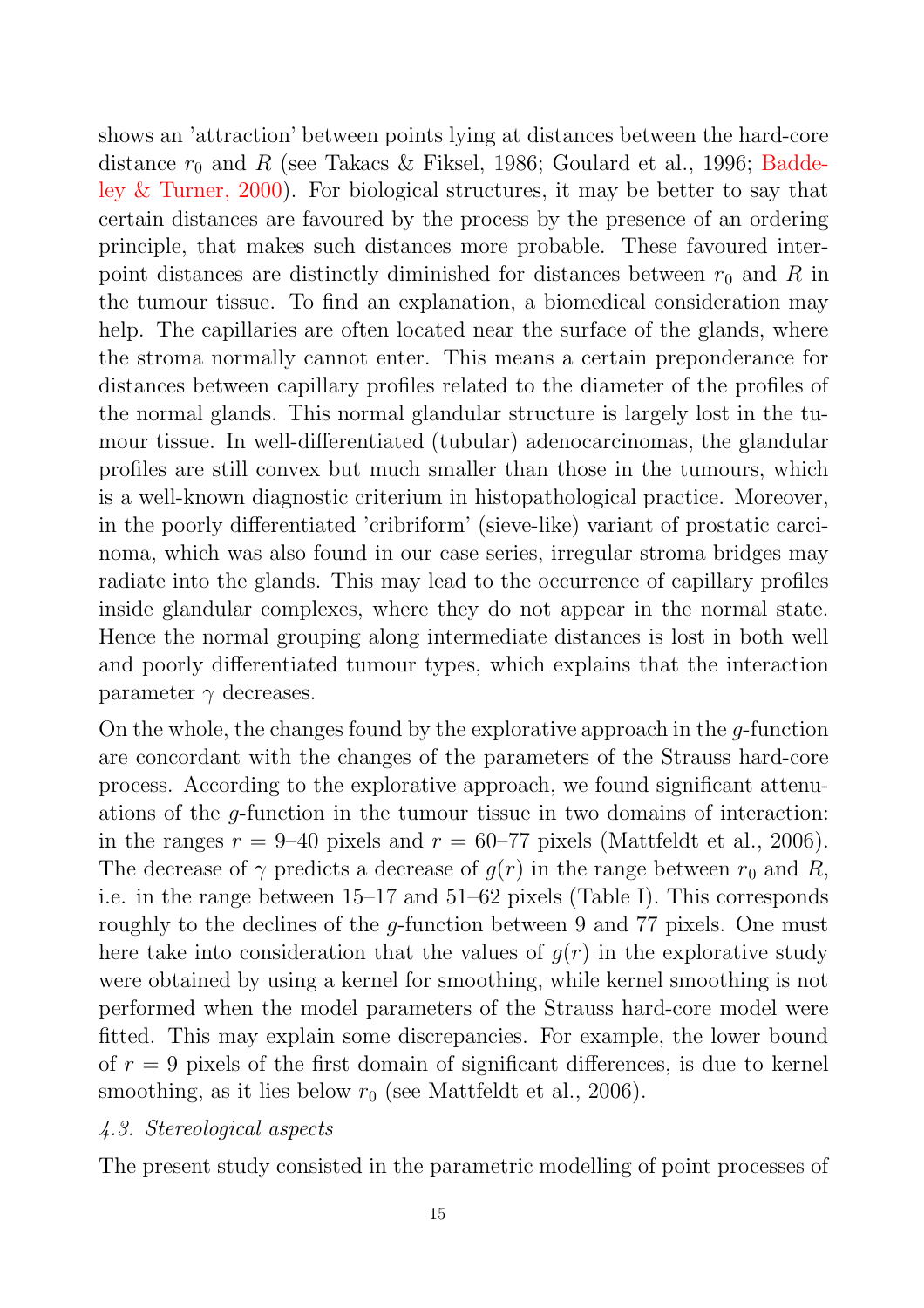shows an 'attraction' between points lying at distances between the hard-core distance  $r_0$  and R (see Takacs & Fiksel, 1986; Goulard et al., 1996; Baddeley & Turner, 2000). For biological structures, it may be better to say that certain distances are favoured by the process by the presence of an ordering principle, that makes such distances more probable. These favoured interpoint distances are distinctly diminished for distances between  $r_0$  and R in the tumour tissue. To find an explanation, a biomedical consideration may help. The capillaries are often located near the surface of the glands, where the stroma normally cannot enter. This means a certain preponderance for distances between capillary profiles related to the diameter of the profiles of the normal glands. This normal glandular structure is largely lost in the tumour tissue. In well-differentiated (tubular) adenocarcinomas, the glandular profiles are still convex but much smaller than those in the tumours, which is a well-known diagnostic criterium in histopathological practice. Moreover, in the poorly differentiated 'cribriform' (sieve-like) variant of prostatic carcinoma, which was also found in our case series, irregular stroma bridges may radiate into the glands. This may lead to the occurrence of capillary profiles inside glandular complexes, where they do not appear in the normal state. Hence the normal grouping along intermediate distances is lost in both well and poorly differentiated tumour types, which explains that the interaction parameter  $\gamma$  decreases.

On the whole, the changes found by the explorative approach in the  $q$ -function are concordant with the changes of the parameters of the Strauss hard-core process. According to the explorative approach, we found significant attenuations of the g-function in the tumour tissue in two domains of interaction: in the ranges  $r = 9{\text -}40$  pixels and  $r = 60{\text -}77$  pixels (Mattfeldt et al., 2006). The decrease of  $\gamma$  predicts a decrease of  $g(r)$  in the range between  $r_0$  and R, i.e. in the range between 15–17 and 51–62 pixels (Table I). This corresponds roughly to the declines of the *g*-function between 9 and 77 pixels. One must here take into consideration that the values of  $g(r)$  in the explorative study were obtained by using a kernel for smoothing, while kernel smoothing is not performed when the model parameters of the Strauss hard-core model were fitted. This may explain some discrepancies. For example, the lower bound of  $r = 9$  pixels of the first domain of significant differences, is due to kernel smoothing, as it lies below  $r_0$  (see Mattfeldt et al., 2006).

### 4.3. Stereological aspects

The present study consisted in the parametric modelling of point processes of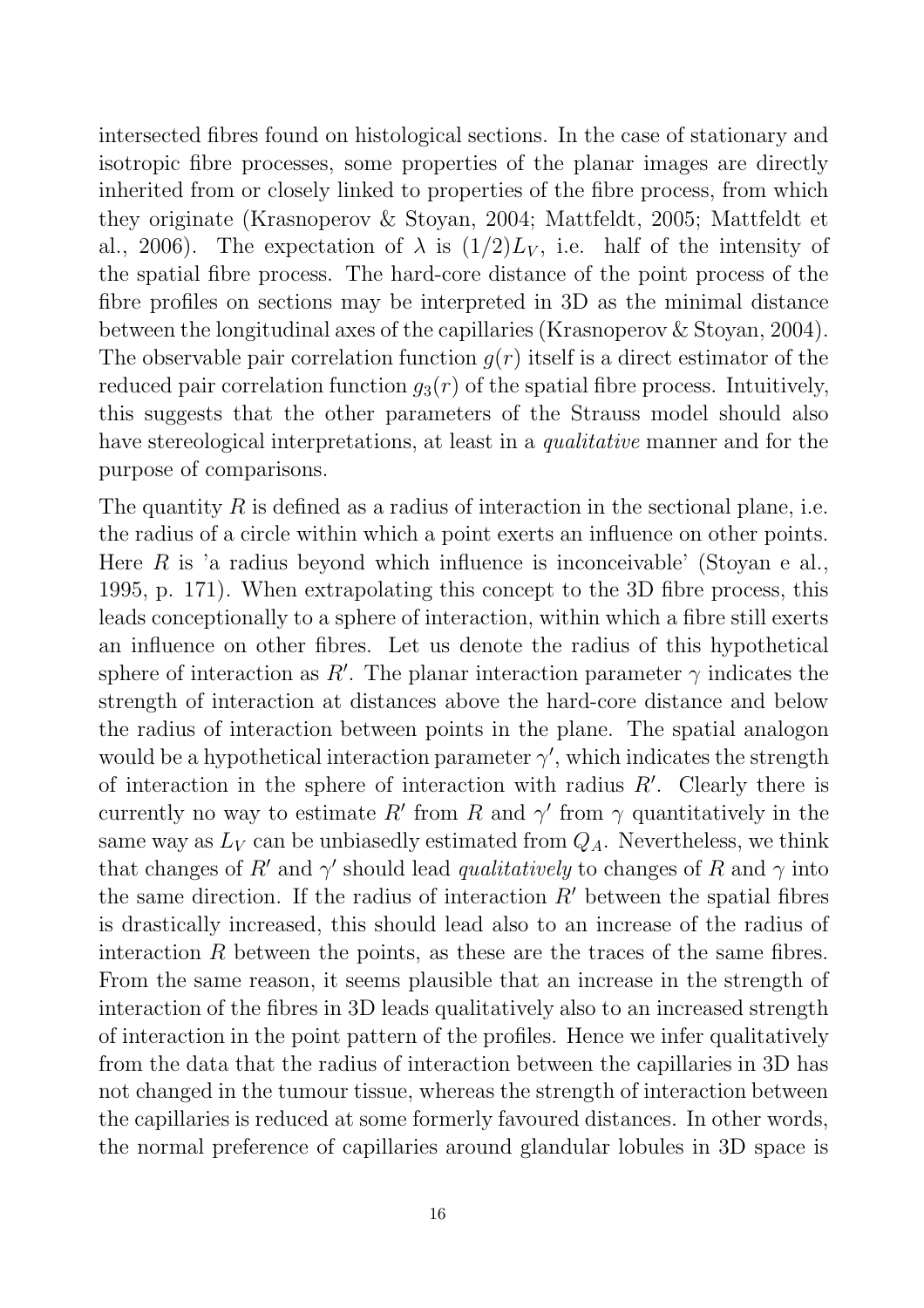intersected fibres found on histological sections. In the case of stationary and isotropic fibre processes, some properties of the planar images are directly inherited from or closely linked to properties of the fibre process, from which they originate (Krasnoperov & Stoyan, 2004; Mattfeldt, 2005; Mattfeldt et al., 2006). The expectation of  $\lambda$  is  $(1/2)L_V$ , i.e. half of the intensity of the spatial fibre process. The hard-core distance of the point process of the fibre profiles on sections may be interpreted in 3D as the minimal distance between the longitudinal axes of the capillaries (Krasnoperov & Stoyan, 2004). The observable pair correlation function  $g(r)$  itself is a direct estimator of the reduced pair correlation function  $q_3(r)$  of the spatial fibre process. Intuitively, this suggests that the other parameters of the Strauss model should also have stereological interpretations, at least in a *qualitative* manner and for the purpose of comparisons.

The quantity R is defined as a radius of interaction in the sectional plane, i.e. the radius of a circle within which a point exerts an influence on other points. Here  $R$  is 'a radius beyond which influence is inconceivable' (Stoyan e al., 1995, p. 171). When extrapolating this concept to the 3D fibre process, this leads conceptionally to a sphere of interaction, within which a fibre still exerts an influence on other fibres. Let us denote the radius of this hypothetical sphere of interaction as R'. The planar interaction parameter  $\gamma$  indicates the strength of interaction at distances above the hard-core distance and below the radius of interaction between points in the plane. The spatial analogon would be a hypothetical interaction parameter  $\gamma'$ , which indicates the strength of interaction in the sphere of interaction with radius  $R'$ . Clearly there is currently no way to estimate R' from R and  $\gamma'$  from  $\gamma$  quantitatively in the same way as  $L_V$  can be unbiasedly estimated from  $Q_A$ . Nevertheless, we think that changes of  $R'$  and  $\gamma'$  should lead *qualitatively* to changes of R and  $\gamma$  into the same direction. If the radius of interaction  $R'$  between the spatial fibres is drastically increased, this should lead also to an increase of the radius of interaction  $R$  between the points, as these are the traces of the same fibres. From the same reason, it seems plausible that an increase in the strength of interaction of the fibres in 3D leads qualitatively also to an increased strength of interaction in the point pattern of the profiles. Hence we infer qualitatively from the data that the radius of interaction between the capillaries in 3D has not changed in the tumour tissue, whereas the strength of interaction between the capillaries is reduced at some formerly favoured distances. In other words, the normal preference of capillaries around glandular lobules in 3D space is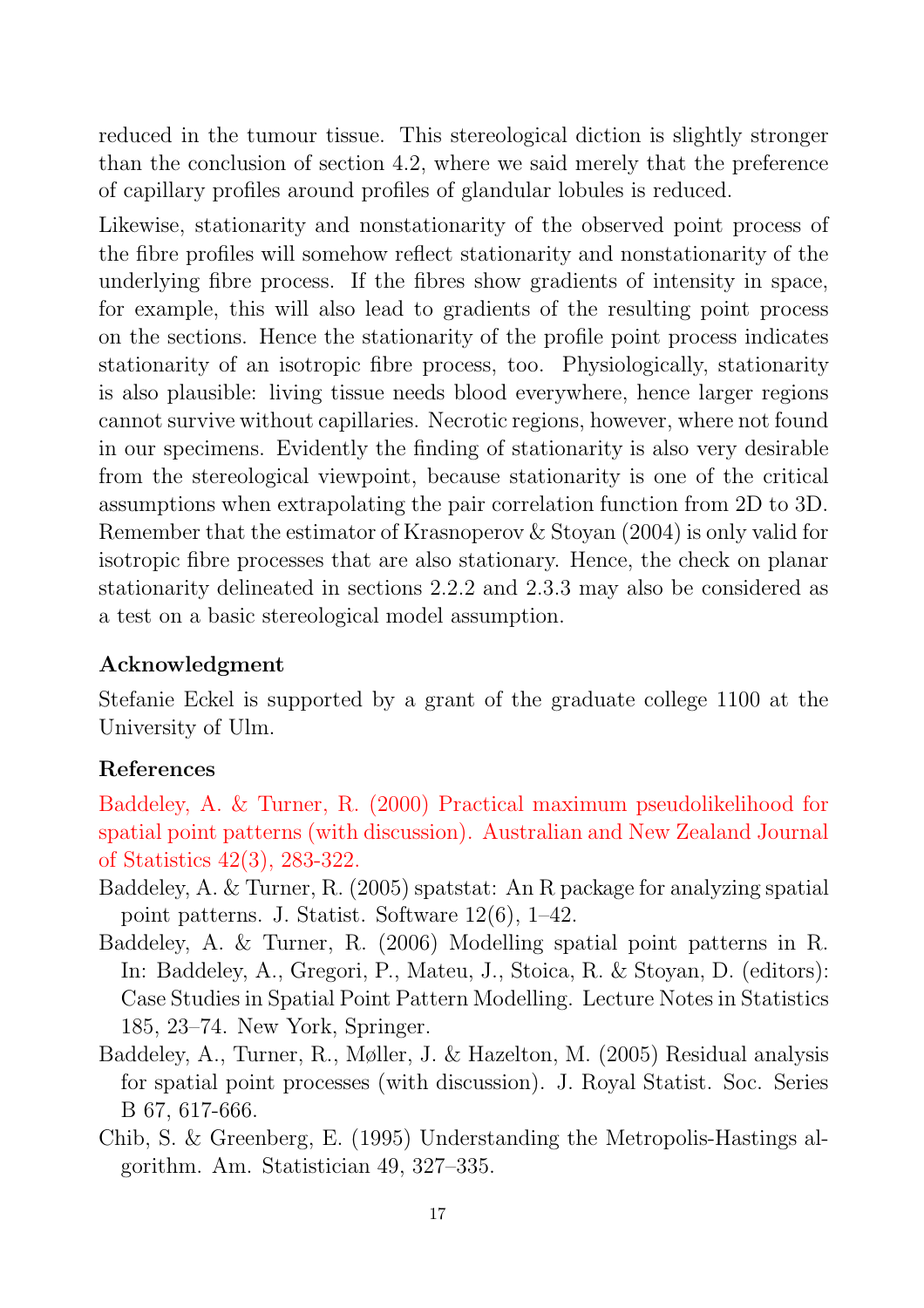reduced in the tumour tissue. This stereological diction is slightly stronger than the conclusion of section 4.2, where we said merely that the preference of capillary profiles around profiles of glandular lobules is reduced.

Likewise, stationarity and nonstationarity of the observed point process of the fibre profiles will somehow reflect stationarity and nonstationarity of the underlying fibre process. If the fibres show gradients of intensity in space, for example, this will also lead to gradients of the resulting point process on the sections. Hence the stationarity of the profile point process indicates stationarity of an isotropic fibre process, too. Physiologically, stationarity is also plausible: living tissue needs blood everywhere, hence larger regions cannot survive without capillaries. Necrotic regions, however, where not found in our specimens. Evidently the finding of stationarity is also very desirable from the stereological viewpoint, because stationarity is one of the critical assumptions when extrapolating the pair correlation function from 2D to 3D. Remember that the estimator of Krasnoperov & Stoyan (2004) is only valid for isotropic fibre processes that are also stationary. Hence, the check on planar stationarity delineated in sections 2.2.2 and 2.3.3 may also be considered as a test on a basic stereological model assumption.

# Acknowledgment

Stefanie Eckel is supported by a grant of the graduate college 1100 at the University of Ulm.

# References

Baddeley, A. & Turner, R. (2000) Practical maximum pseudolikelihood for spatial point patterns (with discussion). Australian and New Zealand Journal of Statistics 42(3), 283-322.

- Baddeley, A. & Turner, R. (2005) spatstat: An R package for analyzing spatial point patterns. J. Statist. Software 12(6), 1–42.
- Baddeley, A. & Turner, R. (2006) Modelling spatial point patterns in R. In: Baddeley, A., Gregori, P., Mateu, J., Stoica, R. & Stoyan, D. (editors): Case Studies in Spatial Point Pattern Modelling. Lecture Notes in Statistics 185, 23–74. New York, Springer.
- Baddeley, A., Turner, R., Møller, J. & Hazelton, M. (2005) Residual analysis for spatial point processes (with discussion). J. Royal Statist. Soc. Series B 67, 617-666.
- Chib, S. & Greenberg, E. (1995) Understanding the Metropolis-Hastings algorithm. Am. Statistician 49, 327–335.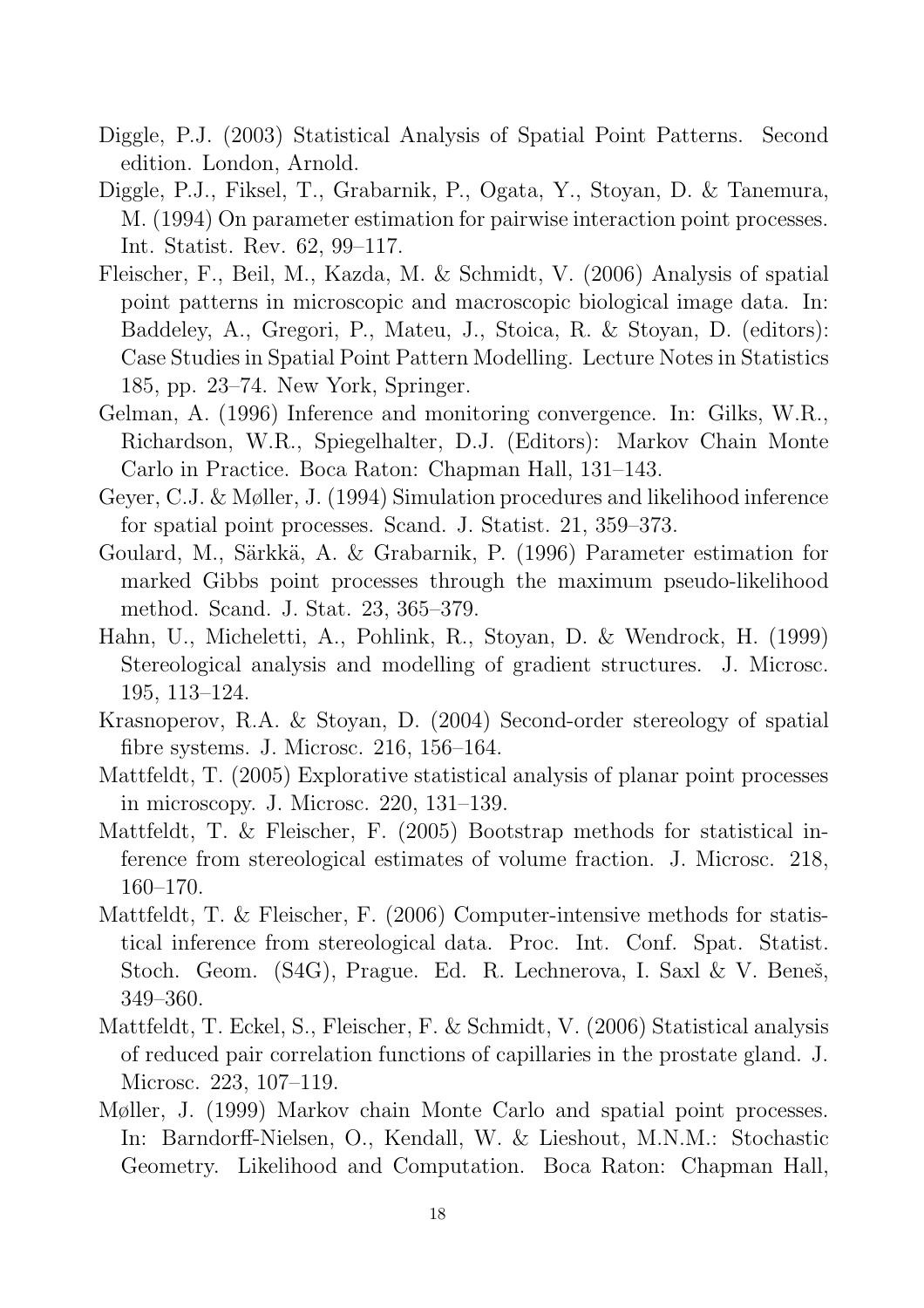- Diggle, P.J. (2003) Statistical Analysis of Spatial Point Patterns. Second edition. London, Arnold.
- Diggle, P.J., Fiksel, T., Grabarnik, P., Ogata, Y., Stoyan, D. & Tanemura, M. (1994) On parameter estimation for pairwise interaction point processes. Int. Statist. Rev. 62, 99–117.
- Fleischer, F., Beil, M., Kazda, M. & Schmidt, V. (2006) Analysis of spatial point patterns in microscopic and macroscopic biological image data. In: Baddeley, A., Gregori, P., Mateu, J., Stoica, R. & Stoyan, D. (editors): Case Studies in Spatial Point Pattern Modelling. Lecture Notes in Statistics 185, pp. 23–74. New York, Springer.
- Gelman, A. (1996) Inference and monitoring convergence. In: Gilks, W.R., Richardson, W.R., Spiegelhalter, D.J. (Editors): Markov Chain Monte Carlo in Practice. Boca Raton: Chapman Hall, 131–143.
- Geyer, C.J. & Møller, J. (1994) Simulation procedures and likelihood inference for spatial point processes. Scand. J. Statist. 21, 359–373.
- Goulard, M., Särkkä, A. & Grabarnik, P. (1996) Parameter estimation for marked Gibbs point processes through the maximum pseudo-likelihood method. Scand. J. Stat. 23, 365–379.
- Hahn, U., Micheletti, A., Pohlink, R., Stoyan, D. & Wendrock, H. (1999) Stereological analysis and modelling of gradient structures. J. Microsc. 195, 113–124.
- Krasnoperov, R.A. & Stoyan, D. (2004) Second-order stereology of spatial fibre systems. J. Microsc. 216, 156–164.
- Mattfeldt, T. (2005) Explorative statistical analysis of planar point processes in microscopy. J. Microsc. 220, 131–139.
- Mattfeldt, T. & Fleischer, F. (2005) Bootstrap methods for statistical inference from stereological estimates of volume fraction. J. Microsc. 218, 160–170.
- Mattfeldt, T. & Fleischer, F. (2006) Computer-intensive methods for statistical inference from stereological data. Proc. Int. Conf. Spat. Statist. Stoch. Geom. (S4G), Prague. Ed. R. Lechnerova, I. Saxl & V. Beneš, 349–360.
- Mattfeldt, T. Eckel, S., Fleischer, F. & Schmidt, V. (2006) Statistical analysis of reduced pair correlation functions of capillaries in the prostate gland. J. Microsc. 223, 107–119.
- Møller, J. (1999) Markov chain Monte Carlo and spatial point processes. In: Barndorff-Nielsen, O., Kendall, W. & Lieshout, M.N.M.: Stochastic Geometry. Likelihood and Computation. Boca Raton: Chapman Hall,